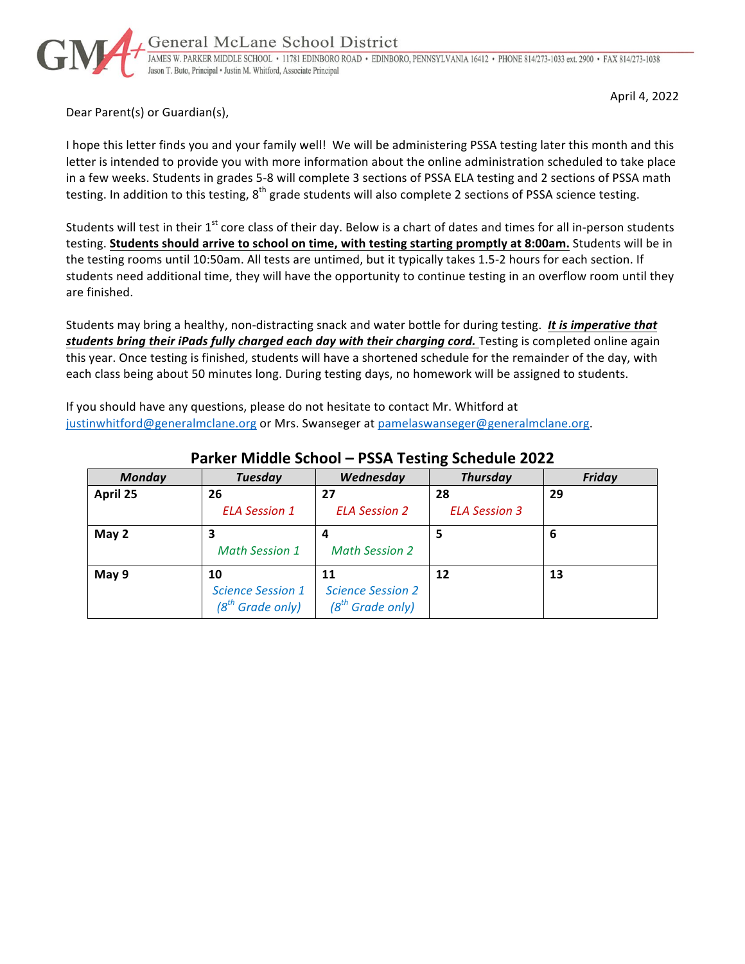

April 4, 2022

Dear Parent(s) or Guardian(s),

I hope this letter finds you and your family well! We will be administering PSSA testing later this month and this letter is intended to provide you with more information about the online administration scheduled to take place in a few weeks. Students in grades 5-8 will complete 3 sections of PSSA ELA testing and 2 sections of PSSA math testing. In addition to this testing,  $8^{th}$  grade students will also complete 2 sections of PSSA science testing.

Students will test in their  $1^{st}$  core class of their day. Below is a chart of dates and times for all in-person students testing. Students should arrive to school on time, with testing starting promptly at 8:00am. Students will be in the testing rooms until 10:50am. All tests are untimed, but it typically takes 1.5-2 hours for each section. If students need additional time, they will have the opportunity to continue testing in an overflow room until they are finished.

Students may bring a healthy, non-distracting snack and water bottle for during testing. It is imperative that students bring their iPads fully charged each day with their charging cord. Testing is completed online again this year. Once testing is finished, students will have a shortened schedule for the remainder of the day, with each class being about 50 minutes long. During testing days, no homework will be assigned to students.

If you should have any questions, please do not hesitate to contact Mr. Whitford at justinwhitford@generalmclane.org or Mrs. Swanseger at pamelaswanseger@generalmclane.org.

| <b>Monday</b> | <b>Tuesday</b>                                       | Wednesday                                            | <b>Thursday</b>      | <b>Friday</b> |
|---------------|------------------------------------------------------|------------------------------------------------------|----------------------|---------------|
| April 25      | 26                                                   | 27                                                   | 28                   | 29            |
|               | <b>ELA Session 1</b>                                 | <b>ELA Session 2</b>                                 | <b>ELA Session 3</b> |               |
| May 2         | <b>Math Session 1</b>                                | <b>Math Session 2</b>                                | 5                    | 6             |
| May 9         | 10<br><b>Science Session 1</b><br>$(8th$ Grade only) | 11<br><b>Science Session 2</b><br>$(8th$ Grade only) | 12                   | 13            |

### **Parker Middle School – PSSA Testing Schedule 2022**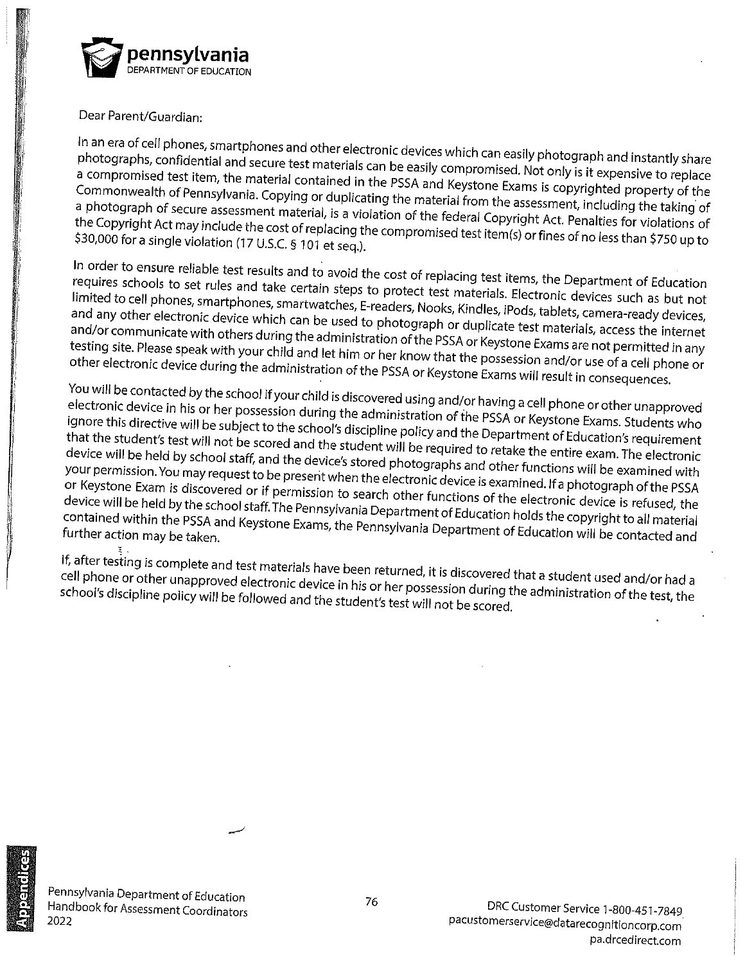

Dear Parent/Guardian:

In an era of cell phones, smartphones and other electronic devices which can easily photograph and instantly share photographs, confidential and secure test materials can be easily compromised. Not only is it expensive to replace a compromised test item, the material contained in the PSSA and Keystone Exams is copyrighted property of the Commonwealth of Pennsylvania. Copying or duplicating the material from the assessment, including the taking of a photograph of secure assessment material, is a violation of the federal Copyright Act. Penalties for violations of the Copyright Act may include the cost of replacing the compromised test item(s) or fines of no less than \$750 up to \$30,000 for a single violation (17 U.S.C. § 101 et seq.).

In order to ensure reliable test results and to avoid the cost of replacing test items, the Department of Education requires schools to set rules and take certain steps to protect test materials. Electronic devices such as but not limited to cell phones, smartphones, smartwatches, E-readers, Nooks, Kindles, iPods, tablets, camera-ready devices, and any other electronic device which can be used to photograph or duplicate test materials, access the internet and/or communicate with others during the administration of the PSSA or Keystone Exams are not permitted in any testing site. Please speak with your child and let him or her know that the possession and/or use of a cell phone or other electronic device during the administration of the PSSA or Keystone Exams will result in consequences.

You will be contacted by the school if your child is discovered using and/or having a cell phone or other unapproved electronic device in his or her possession during the administration of the PSSA or Keystone Exams. Students who ignore this directive will be subject to the school's discipline policy and the Department of Education's requirement that the student's test will not be scored and the student will be required to retake the entire exam. The electronic device will be held by school staff, and the device's stored photographs and other functions will be examined with your permission. You may request to be present when the electronic device is examined. If a photograph of the PSSA or Keystone Exam is discovered or if permission to search other functions of the electronic device is refused, the device will be held by the school staff. The Pennsylvania Department of Education holds the copyright to all material contained within the PSSA and Keystone Exams, the Pennsylvania Department of Education will be contacted and

If, after testing is complete and test materials have been returned, it is discovered that a student used and/or had a cell phone or other unapproved electronic device in his or her possession during the administration of the test, the school's discipline policy will be followed and the student's test will not be scored.



Pennsylvania Department of Education Handbook for Assessment Coordinators 2022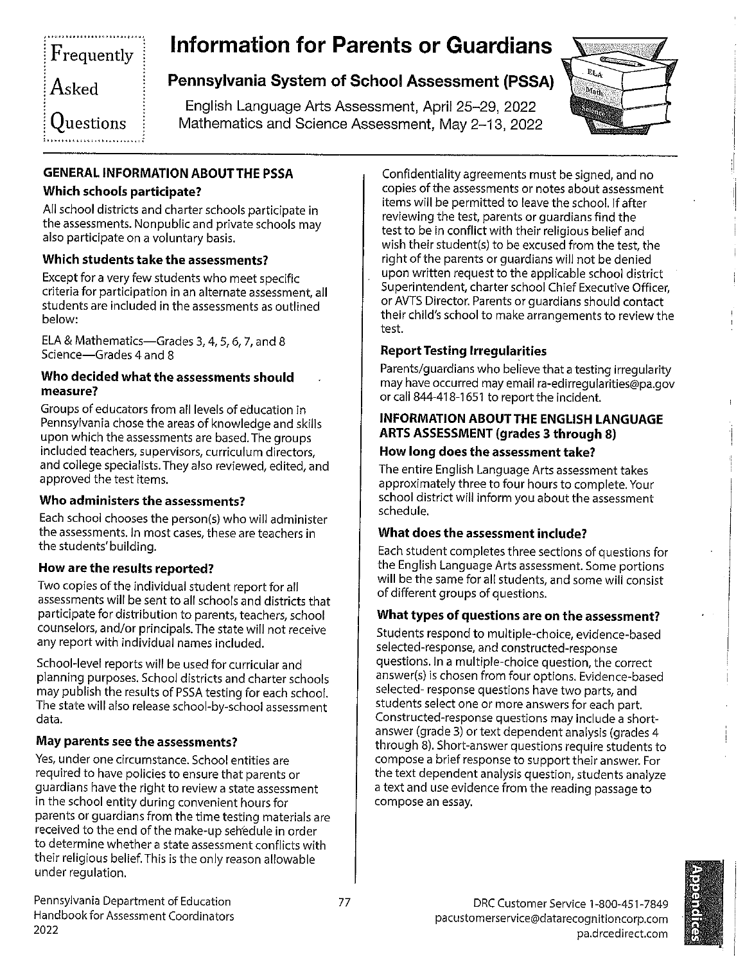# Frequently Asked  $\rm O$ uestions

# **Information for Parents or Guardians**

# Pennsylvania System of School Assessment (PSSA)

English Language Arts Assessment, April 25-29, 2022 Mathematics and Science Assessment, May 2-13, 2022



### **GENERAL INFORMATION ABOUT THE PSSA**

### Which schools participate?

All school districts and charter schools participate in the assessments. Nonpublic and private schools may also participate on a voluntary basis.

### Which students take the assessments?

Except for a very few students who meet specific criteria for participation in an alternate assessment, all students are included in the assessments as outlined below:

ELA & Mathematics-Grades 3, 4, 5, 6, 7, and 8 Science-Grades 4 and 8

#### Who decided what the assessments should measure?

Groups of educators from all levels of education in Pennsylvania chose the areas of knowledge and skills upon which the assessments are based. The groups included teachers, supervisors, curriculum directors, and college specialists. They also reviewed, edited, and approved the test items.

#### Who administers the assessments?

Each school chooses the person(s) who will administer the assessments. In most cases, these are teachers in the students' building.

### How are the results reported?

Two copies of the individual student report for all assessments will be sent to all schools and districts that participate for distribution to parents, teachers, school counselors, and/or principals. The state will not receive any report with individual names included.

School-level reports will be used for curricular and planning purposes. School districts and charter schools may publish the results of PSSA testing for each school. The state will also release school-by-school assessment data.

### May parents see the assessments?

Yes, under one circumstance. School entities are required to have policies to ensure that parents or guardians have the right to review a state assessment in the school entity during convenient hours for parents or guardians from the time testing materials are received to the end of the make-up schedule in order to determine whether a state assessment conflicts with their religious belief. This is the only reason allowable under regulation.

Confidentiality agreements must be signed, and no copies of the assessments or notes about assessment items will be permitted to leave the school. If after reviewing the test, parents or guardians find the test to be in conflict with their religious belief and wish their student(s) to be excused from the test, the right of the parents or guardians will not be denied upon written request to the applicable school district Superintendent, charter school Chief Executive Officer, or AVTS Director. Parents or guardians should contact their child's school to make arrangements to review the test.

### **Report Testing Irregularities**

Parents/guardians who believe that a testing irregularity may have occurred may email ra-edirregularities@pa.gov or call 844-418-1651 to report the incident.

#### **INFORMATION ABOUT THE ENGLISH LANGUAGE ARTS ASSESSMENT (grades 3 through 8)**

### How long does the assessment take?

The entire English Language Arts assessment takes approximately three to four hours to complete. Your school district will inform you about the assessment schedule.

### What does the assessment include?

Each student completes three sections of questions for the English Language Arts assessment. Some portions will be the same for all students, and some will consist of different groups of questions.

#### What types of questions are on the assessment?

Students respond to multiple-choice, evidence-based selected-response, and constructed-response questions. In a multiple-choice question, the correct answer(s) is chosen from four options. Evidence-based selected-response questions have two parts, and students select one or more answers for each part. Constructed-response questions may include a shortanswer (grade 3) or text dependent analysis (grades 4 through 8). Short-answer questions require students to compose a brief response to support their answer. For the text dependent analysis question, students analyze a text and use evidence from the reading passage to compose an essay.



Pennsylvania Department of Education Handbook for Assessment Coordinators 2022